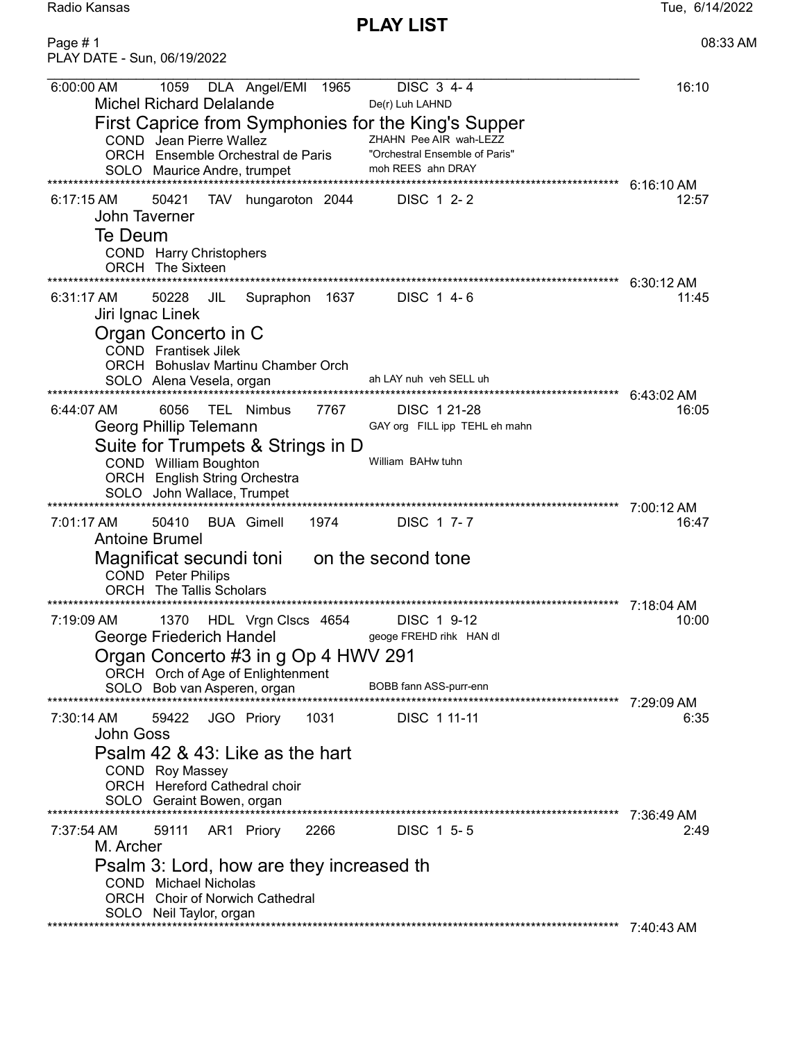Radio Kansas Tue, 6/14/2022 PLAY LIST Page # 1 08:33 AM

PLAY DATE - Sun, 06/19/2022

| 6:00:00 AM<br><b>Michel Richard Delalande</b>                                                                                  | 1059  |            | DLA Angel/EMI 1965                                                                               |                       | DISC $3\sqrt{4-4}$<br>De(r) Luh LAHND                                         |                              | 16:10                 |
|--------------------------------------------------------------------------------------------------------------------------------|-------|------------|--------------------------------------------------------------------------------------------------|-----------------------|-------------------------------------------------------------------------------|------------------------------|-----------------------|
| COND Jean Pierre Wallez<br>SOLO Maurice Andre, trumpet                                                                         |       |            | First Caprice from Symphonies for the King's Supper<br>ORCH Ensemble Orchestral de Paris         |                       | ZHAHN Pee AIR wah-LEZZ<br>"Orchestral Ensemble of Paris"<br>moh REES ahn DRAY |                              |                       |
| $6:17:15$ AM<br>John Taverner<br>Te Deum<br>COND Harry Christophers<br><b>ORCH</b> The Sixteen                                 | 50421 | <b>TAV</b> | hungaroton 2044                                                                                  | ********************* | DISC 1 2-2                                                                    |                              | $6:16:10$ AM<br>12:57 |
| $6:31:17$ AM<br>Jiri Ignac Linek<br>Organ Concerto in C<br><b>COND</b> Frantisek Jilek<br>SOLO Alena Vesela, organ             | 50228 | JIL        | Supraphon 1637<br><b>ORCH</b> Bohuslav Martinu Chamber Orch                                      |                       | DISC 1 4-6<br>ah LAY nuh veh SELL uh                                          |                              | 6:30:12 AM<br>11:45   |
| 6:44:07 AM<br>Georg Phillip Telemann<br>COND William Boughton<br>SOLO John Wallace, Trumpet                                    | 6056  |            | TEL Nimbus<br>Suite for Trumpets & Strings in D<br><b>ORCH</b> English String Orchestra          | 7767                  | DISC 1 21-28<br>GAY org FILL ipp TEHL eh mahn<br>William BAHw tuhn            |                              | 6:43:02 AM<br>16:05   |
| 7:01:17 AM<br><b>Antoine Brumel</b><br>Magnificat secundi toni<br><b>COND</b> Peter Philips<br><b>ORCH</b> The Tallis Scholars | 50410 |            | <b>BUA Gimell</b>                                                                                | 1974                  | DISC 1 7-7<br>on the second tone                                              | **************************** | 7:00:12 AM<br>16:47   |
| 7:19:09 AM<br>George Friederich Handel<br>SOLO Bob van Asperen, organ                                                          | 1370  |            | HDL Vrgn Clscs 4654<br>Organ Concerto #3 in g Op 4 HWV 291<br>ORCH Orch of Age of Enlightenment  |                       | DISC 1 9-12<br>geoge FREHD rihk HAN dl<br>BOBB fann ASS-purr-enn              |                              | 7:18:04 AM<br>10:00   |
| 7:30:14 AM<br><b>John Goss</b><br>COND Roy Massey<br>SOLO Geraint Bowen, organ                                                 | 59422 |            | JGO Priory<br>Psalm 42 & 43: Like as the hart<br><b>ORCH</b> Hereford Cathedral choir            | - 1031                | DISC 1 11-11                                                                  |                              | 7:29:09 AM<br>6:35    |
| 7:37:54 AM<br>M. Archer<br><b>COND</b> Michael Nicholas<br>SOLO Neil Taylor, organ                                             | 59111 |            | AR1 Priory<br>Psalm 3: Lord, how are they increased th<br><b>ORCH</b> Choir of Norwich Cathedral | 2266                  | DISC 1 5-5                                                                    |                              | 7:36:49 AM<br>2:49    |

\*\*\*\*\*\*\*\*\*\*\*\*\*\*\*\*\*\*\*\*\*\*\*\*\*\*\*\*\*\*\*\*\*\*\*\*\*\*\*\*\*\*\*\*\*\*\*\*\*\*\*\*\*\*\*\*\*\*\*\*\*\*\*\*\*\*\*\*\*\*\*\*\*\*\*\*\*\*\*\*\*\*\*\*\*\*\*\*\*\*\*\*\*\*\*\*\*\*\*\*\*\*\*\*\*\*\*\*\*\* 7:40:43 AM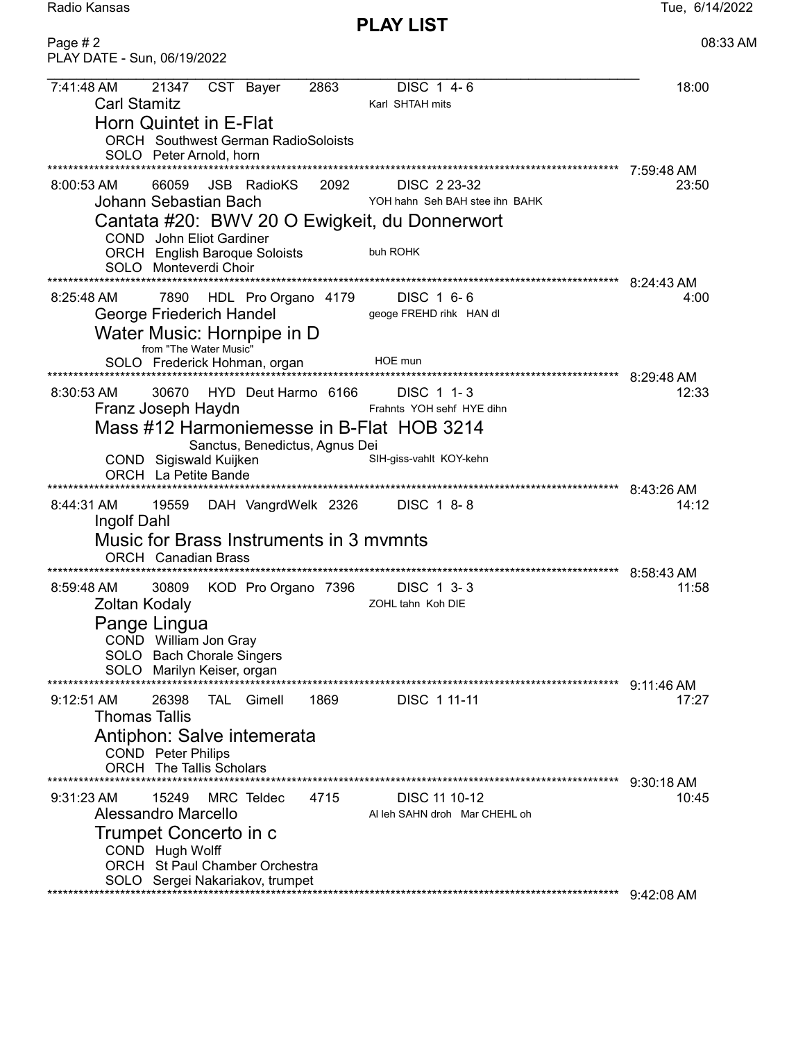PLAY LIST

Radio Kansas **Tue, 6/14/2022** 

| Page $# 2$<br>PLAY DATE - Sun, 06/19/2022                                                                                                                                                                                                                                                       | 08:33 AM                            |
|-------------------------------------------------------------------------------------------------------------------------------------------------------------------------------------------------------------------------------------------------------------------------------------------------|-------------------------------------|
| 7:41:48 AM<br>21347<br>2863<br>DISC 1 4-6<br>CST Bayer<br><b>Carl Stamitz</b><br>Karl SHTAH mits<br>Horn Quintet in E-Flat<br><b>ORCH</b> Southwest German RadioSoloists<br>SOLO Peter Arnold, horn                                                                                             | 18:00                               |
| $8:00:53$ AM<br>66059<br><b>JSB</b> RadioKS<br>2092<br>DISC 2 23-32<br>Johann Sebastian Bach<br>YOH hahn Seh BAH stee ihn BAHK<br>Cantata #20: BWV 20 O Ewigkeit, du Donnerwort<br><b>COND</b> John Eliot Gardiner<br>buh ROHK<br><b>ORCH</b> English Baroque Soloists<br>SOLO Monteverdi Choir | 7:59:48 AM<br>23:50                 |
| 7890<br>HDL Pro Organo 4179<br>DISC 1 6-6<br>8:25:48 AM<br>George Friederich Handel<br>geoge FREHD rihk HAN dl<br>Water Music: Hornpipe in D<br>from "The Water Music"<br>HOE mun<br>SOLO Frederick Hohman, organ                                                                               | 8:24:43 AM<br>4:00                  |
| 30670<br>HYD Deut Harmo 6166<br>8:30:53 AM<br>DISC 1 1-3<br>Franz Joseph Haydn<br>Frahnts YOH sehf HYE dihn<br>Mass #12 Harmoniemesse in B-Flat HOB 3214<br>Sanctus, Benedictus, Agnus Dei<br>SIH-giss-vahlt KOY-kehn<br>COND Sigiswald Kuijken<br><b>ORCH</b> La Petite Bande                  | 8:29:48 AM<br>12:33                 |
| *******************************<br>19559<br>8:44:31 AM<br>DAH VangrdWelk 2326 DISC 1 8-8<br>Ingolf Dahl<br>Music for Brass Instruments in 3 mymnts<br><b>ORCH</b> Canadian Brass                                                                                                                | 8:43:26 AM<br>14:12                 |
| **************************************<br>********************************<br>8:59:48 AM<br>30809<br>KOD Pro Organo 7396<br>DISC 1 3-3<br>Zoltan Kodaly<br>ZOHL tahn Koh DIE<br>Pange Lingua<br>COND William Jon Gray<br>SOLO Bach Chorale Singers<br>SOLO Marilyn Keiser, organ                | 8:58:43 AM<br>11:58                 |
| 1869<br>$9:12:51$ AM<br>26398<br><b>TAL</b> Gimell<br>DISC 1 11-11<br><b>Thomas Tallis</b><br>Antiphon: Salve intemerata<br><b>COND</b> Peter Philips<br><b>ORCH</b> The Tallis Scholars                                                                                                        | 9:11:46 AM<br>17:27                 |
| $9:31:23$ AM<br>15249<br>MRC Teldec<br>4715<br>DISC 11 10-12<br>Alessandro Marcello<br>Al leh SAHN droh Mar CHEHL oh<br>Trumpet Concerto in c<br>COND Hugh Wolff<br>ORCH St Paul Chamber Orchestra<br>SOLO Sergei Nakariakov, trumpet<br>***********************                                | 9:30:18 AM<br>10:45<br>$9:42:08$ AM |
|                                                                                                                                                                                                                                                                                                 |                                     |